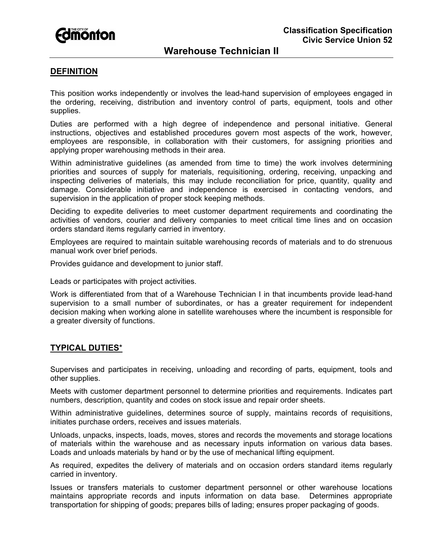

# **Warehouse Technician II**

### **DEFINITION**

This position works independently or involves the lead-hand supervision of employees engaged in the ordering, receiving, distribution and inventory control of parts, equipment, tools and other supplies.

Duties are performed with a high degree of independence and personal initiative. General instructions, objectives and established procedures govern most aspects of the work, however, employees are responsible, in collaboration with their customers, for assigning priorities and applying proper warehousing methods in their area.

Within administrative guidelines (as amended from time to time) the work involves determining priorities and sources of supply for materials, requisitioning, ordering, receiving, unpacking and inspecting deliveries of materials, this may include reconciliation for price, quantity, quality and damage. Considerable initiative and independence is exercised in contacting vendors, and supervision in the application of proper stock keeping methods.

Deciding to expedite deliveries to meet customer department requirements and coordinating the activities of vendors, courier and delivery companies to meet critical time lines and on occasion orders standard items regularly carried in inventory.

Employees are required to maintain suitable warehousing records of materials and to do strenuous manual work over brief periods.

Provides guidance and development to junior staff.

Leads or participates with project activities.

Work is differentiated from that of a Warehouse Technician I in that incumbents provide lead-hand supervision to a small number of subordinates, or has a greater requirement for independent decision making when working alone in satellite warehouses where the incumbent is responsible for a greater diversity of functions.

## **TYPICAL DUTIES**\*

Supervises and participates in receiving, unloading and recording of parts, equipment, tools and other supplies.

Meets with customer department personnel to determine priorities and requirements. Indicates part numbers, description, quantity and codes on stock issue and repair order sheets.

Within administrative guidelines, determines source of supply, maintains records of requisitions, initiates purchase orders, receives and issues materials.

Unloads, unpacks, inspects, loads, moves, stores and records the movements and storage locations of materials within the warehouse and as necessary inputs information on various data bases. Loads and unloads materials by hand or by the use of mechanical lifting equipment.

As required, expedites the delivery of materials and on occasion orders standard items regularly carried in inventory.

Issues or transfers materials to customer department personnel or other warehouse locations maintains appropriate records and inputs information on data base. Determines appropriate transportation for shipping of goods; prepares bills of lading; ensures proper packaging of goods.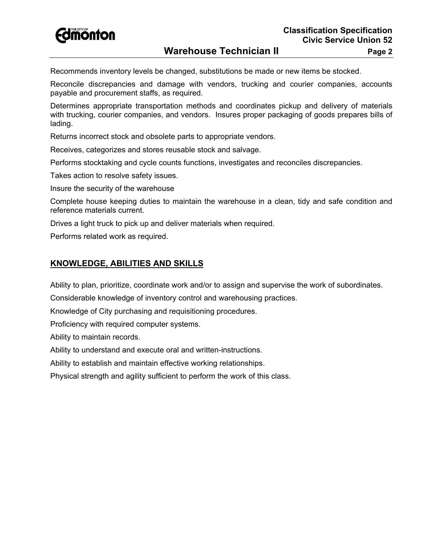

Recommends inventory levels be changed, substitutions be made or new items be stocked.

Reconcile discrepancies and damage with vendors, trucking and courier companies, accounts payable and procurement staffs, as required.

Determines appropriate transportation methods and coordinates pickup and delivery of materials with trucking, courier companies, and vendors. Insures proper packaging of goods prepares bills of lading.

Returns incorrect stock and obsolete parts to appropriate vendors.

Receives, categorizes and stores reusable stock and salvage.

Performs stocktaking and cycle counts functions, investigates and reconciles discrepancies.

Takes action to resolve safety issues.

Insure the security of the warehouse

Complete house keeping duties to maintain the warehouse in a clean, tidy and safe condition and reference materials current.

Drives a light truck to pick up and deliver materials when required.

Performs related work as required.

# **KNOWLEDGE, ABILITIES AND SKILLS**

Ability to plan, prioritize, coordinate work and/or to assign and supervise the work of subordinates.

Considerable knowledge of inventory control and warehousing practices.

Knowledge of City purchasing and requisitioning procedures.

Proficiency with required computer systems.

Ability to maintain records.

Ability to understand and execute oral and written-instructions.

Ability to establish and maintain effective working relationships.

Physical strength and agility sufficient to perform the work of this class.